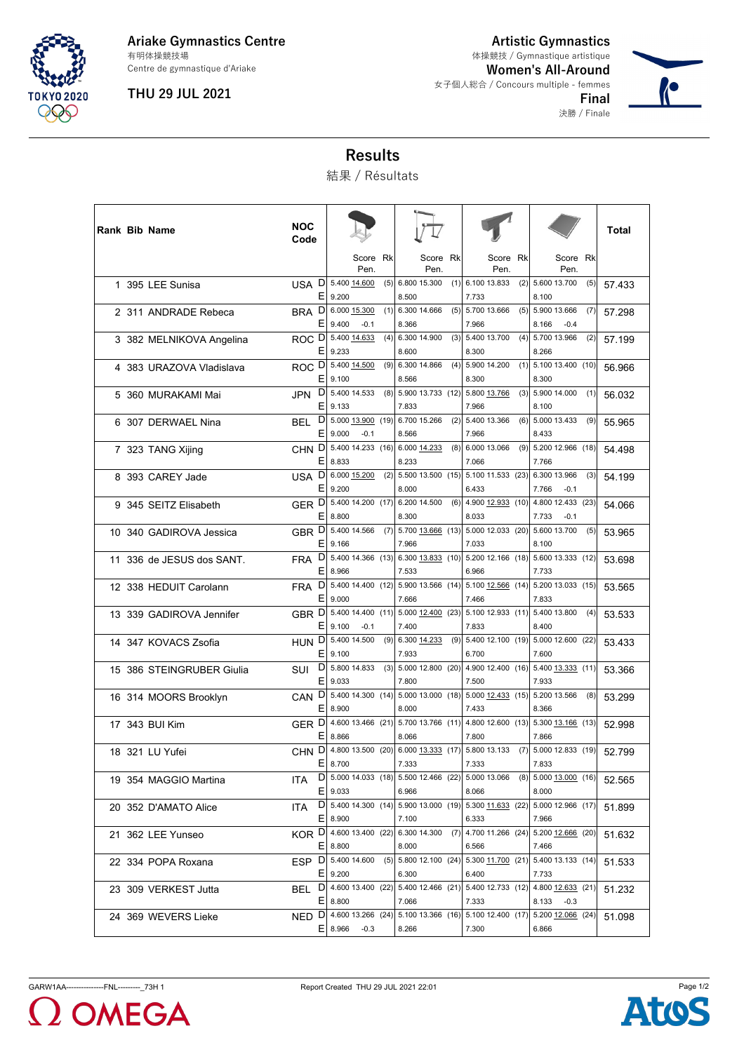

**Ariake Gymnastics Centre** Centre de gymnastique d'Ariake 有明体操競技場

**THU 29 JUL 2021**

**Artistic Gymnastics Women's All-Around** 女子個人総合 / Concours multiple - femmes 体操競技 / Gymnastique artistique

> **Final** 決勝 / Finale



**Results**

結果 / Résultats

| Rank Bib Name             | <b>NOC</b><br>Code     |                  |                        |      |                                                                        |     |                            |     |                                              |     | Total  |
|---------------------------|------------------------|------------------|------------------------|------|------------------------------------------------------------------------|-----|----------------------------|-----|----------------------------------------------|-----|--------|
|                           |                        |                  | Score Rk<br>Pen.       |      | Score Rk<br>Pen.                                                       |     | Score Rk<br>Pen.           |     | Score Rk<br>Pen.                             |     |        |
| 1 395 LEE Sunisa          | D<br><b>USA</b><br>Ε   | 9.200            | 5.400 14.600           | (5)  | 6.800 15.300<br>8.500                                                  | (1) | 6.100 13.833<br>7.733      | (2) | 5.600 13.700<br>8.100                        | (5) | 57.433 |
| 2 311 ANDRADE Rebeca      | D<br><b>BRA</b><br>Ε   | 9.400            | 6.000 15.300<br>$-0.1$ | (1)  | 6.300 14.666<br>8.366                                                  | (5) | 5.700 13.666<br>7.966      | (5) | 5.900 13.666<br>8.166<br>$-0.4$              | (7) | 57.298 |
| 3 382 MELNIKOVA Angelina  | ROC <sup>D</sup><br>E, | 9.233            | 5.400 14.633           | (4)  | 6.300 14.900<br>8.600                                                  | (3) | 5.400 13.700<br>8.300      | (4) | 5.700 13.966<br>8.266                        | (2) | 57.199 |
| 4 383 URAZOVA Vladislava  | D<br>ROC.<br>Ε         | 9.100            | 5.400 14.500           | (9)  | 6.300 14.866<br>8.566                                                  | (4) | 5.900 14.200<br>8.300      | (1) | 5.100 13.400 (10)<br>8.300                   |     | 56.966 |
| 5 360 MURAKAMI Mai        | D<br><b>JPN</b><br>Ε   | 9.133            | 5.400 14.533           |      | $(8)$ 5.900 13.733 (12)<br>7.833                                       |     | 5.800 13.766<br>7.966      | (3) | 5.900 14.000<br>8.100                        | (1) | 56.032 |
| 6 307 DERWAEL Nina        | D<br>BEL<br>Е          | 9.000            | 5.000 13.900<br>$-0.1$ | (19) | 6.700 15.266<br>8.566                                                  | (2) | 5.400 13.366<br>7.966      | (6) | 5.000 13.433<br>8.433                        | (9) | 55.965 |
| 7 323 TANG Xijing         | D<br><b>CHN</b><br>Ε   | 8.833            | 5.400 14.233           | (16) | 6.000 14.233<br>8.233                                                  | (8) | 6.000 13.066<br>7.066      | (9) | 5.200 12.966 (18)<br>7.766                   |     | 54.498 |
| 8 393 CAREY Jade          | D<br>USA.<br>Ε         | 9.200            | 6.000 15.200           | (2)  | 5.500 13.500 (15)<br>8.000                                             |     | 5.100 11.533 (23)<br>6.433 |     | 6.300 13.966<br>7.766<br>$-0.1$              | (3) | 54.199 |
| 9 345 SEITZ Elisabeth     | GER <sup>D</sup><br>Е  | 8.800            | 5.400 14.200 (17)      |      | 6.200 14.500<br>8.300                                                  | (6) | 4.900 12.933 (10)<br>8.033 |     | 4.800 12.433 (23)<br>7.733<br>$-0.1$         |     | 54.066 |
| 10 340 GADIROVA Jessica   | GBR <sub>D</sub><br>Ε  | 9.166            | 5.400 14.566           |      | $(7)$ 5.700 13.666 (13)<br>7.966                                       |     | 5.000 12.033 (20)<br>7.033 |     | 5.600 13.700<br>8.100                        | (5) | 53.965 |
| 11 336 de JESUS dos SANT. | D<br><b>FRA</b><br>Ε   | 8.966            |                        |      | 5.400 14.366 (13) 6.300 13.833 (10)<br>7.533                           |     | 5.200 12.166 (18)<br>6.966 |     | 5.600 13.333 (12)<br>7.733                   |     | 53.698 |
| 12 338 HEDUIT Carolann    | D<br><b>FRA</b><br>Е   | 9.000            |                        |      | 5.400 14.400 (12) 5.900 13.566 (14)<br>7.666                           |     | 5.100 12.566 (14)<br>7.466 |     | 5.200 13.033 (15)<br>7.833                   |     | 53.565 |
| 13 339 GADIROVA Jennifer  | GBR <sub>D</sub><br>Ε  | 9.100            | 5.400 14.400<br>$-0.1$ | (11) | 5.000 12.400 (23)<br>7.400                                             |     | 5.100 12.933 (11)<br>7.833 |     | 5.400 13.800<br>8.400                        | (4) | 53.533 |
| 14 347 KOVACS Zsofia      | HUN D<br>Ε             | 9.100            | 5.400 14.500           | (9)  | 6.300 14.233<br>7.933                                                  | (9) | 5.400 12.100 (19)<br>6.700 |     | 5.000 12.600 (22)<br>7.600                   |     | 53.433 |
| 15 386 STEINGRUBER Giulia | D<br>SUI<br>Е          | 9.033            | 5.800 14.833           | (3)  | 5.000 12.800 (20)<br>7.800                                             |     | 7.500                      |     | 4.900 12.400 (16) 5.400 13.333 (11)<br>7.933 |     | 53.366 |
| 16 314 MOORS Brooklyn     | D<br><b>CAN</b><br>Ε   | 8.900            | $5.400$ 14.300 (14)    |      | $5.000$ 13.000 (18)<br>8.000                                           |     | 5.000 12.433 (15)<br>7.433 |     | 5.200 13.566<br>8.366                        | (8) | 53.299 |
| 17 343 BUI Kim            | GER D<br>Ε             | 8.866            |                        |      | 4.600 13.466 (21) 5.700 13.766 (11)<br>8.066                           |     | 4.800 12.600 (13)<br>7.800 |     | 5.300 13.166 (13)<br>7.866                   |     | 52.998 |
| 18 321 LU Yufei           |                        | E 8.700          |                        |      | CHN D 4.800 13.500 (20) 6.000 13.333 (17)<br>7.333                     |     | 5.800 13.133<br>7.333      | (7) | 5.000 12.833 (19)<br>7.833                   |     | 52.799 |
| 19 354 MAGGIO Martina     | ITA.                   | $E$   9.033      |                        |      | D   5.000 14.033 (18)   5.500 12.466 (22)   5.000 13.066<br>6.966      |     | 8.066                      |     | $(8)$ 5.000 13.000 (16)<br>8.000             |     | 52.565 |
| 20 352 D'AMATO Alice      | ITA.                   | E 8.900          |                        |      | D   5.400 14.300 (14)   5.900 13.000 (19)   5.300 11.633 (22)<br>7.100 |     | 6.333                      |     | 5.000 12.966 (17)<br>7.966                   |     | 51.899 |
| 21 362 LEE Yunseo         |                        | $E$ 8.800        |                        |      | KOR D 4.600 13.400 (22) 6.300 14.300<br>8.000                          | (7) | 6.566                      |     | 4.700 11.266 (24) 5.200 12.666 (20)<br>7.466 |     | 51.632 |
| 22 334 POPA Roxana        | ESP D 5.400 14.600     | $E$ 9.200        |                        |      | $(5)$   5.800 12.100 $(24)$   5.300 11.700 $(21)$  <br>6.300           |     | 6.400                      |     | 5.400 13.133 (14)<br>7.733                   |     | 51.533 |
| 23 309 VERKEST Jutta      |                        | $E$   8.800      |                        |      | BEL D 4.600 13.400 (22) 5.400 12.466 (21) 5.400 12.733 (12)<br>7.066   |     | 7.333                      |     | 4.800 12.633 (21)<br>8.133 -0.3              |     | 51.232 |
| 24 369 WEVERS Lieke       |                        | $E$   8.966 -0.3 |                        |      | NED D 4.600 13.266 (24) 5.100 13.366 (16) 5.100 12.400 (17)<br>8.266   |     | 7.300                      |     | 5.200 12.066 (24)<br>6.866                   |     | 51.098 |



 $\overline{\mathbf{I}}$